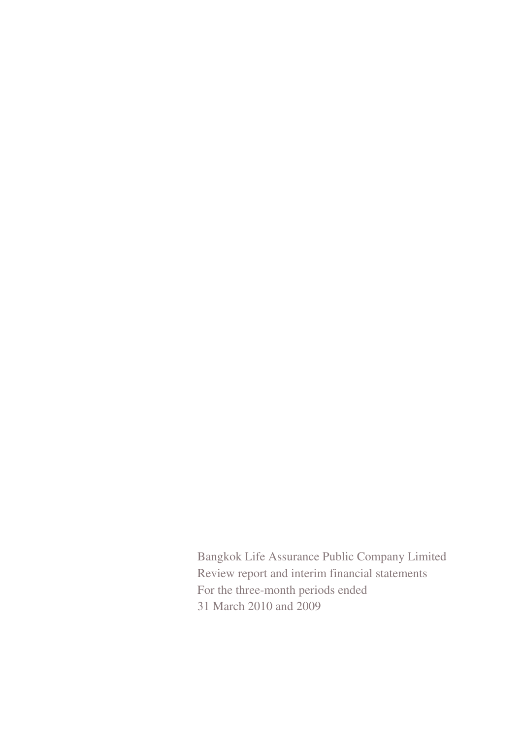Bangkok Life Assurance Public Company Limited Review report and interim financial statements For the three-month periods ended 31 March 2010 and 2009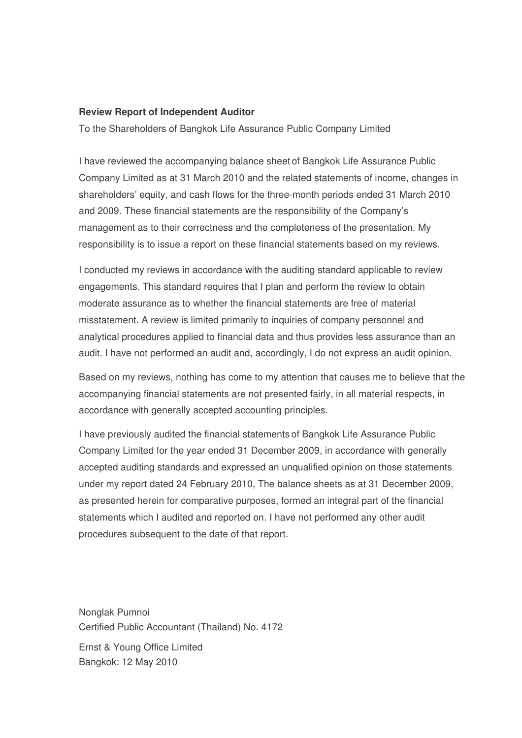#### **Review Report of Independent Auditor**

To the Shareholders of Bangkok Life Assurance Public Company Limited

I have reviewed the accompanying balance sheet of Bangkok Life Assurance Public Company Limited as at 31 March 2010 and the related statements of income, changes in shareholders' equity, and cash flows for the three-month periods ended 31 March 2010 and 2009. These financial statements are the responsibility of the Company's management as to their correctness and the completeness of the presentation. My responsibility is to issue a report on these financial statements based on my reviews.

I conducted my reviews in accordance with the auditing standard applicable to review engagements. This standard requires that I plan and perform the review to obtain moderate assurance as to whether the financial statements are free of material misstatement. A review is limited primarily to inquiries of company personnel and analytical procedures applied to financial data and thus provides less assurance than an audit. I have not performed an audit and, accordingly, I do not express an audit opinion.

Based on my reviews, nothing has come to my attention that causes me to believe that the accompanying financial statements are not presented fairly, in all material respects, in accordance with generally accepted accounting principles.

I have previously audited the financial statements of Bangkok Life Assurance Public Company Limited for the year ended 31 December 2009, in accordance with generally accepted auditing standards and expressed an unqualified opinion on those statements under my report dated 24 February 2010, The balance sheets as at 31 December 2009, as presented herein for comparative purposes, formed an integral part of the financial statements which I audited and reported on. I have not performed any other audit procedures subsequent to the date of that report.

Nonglak Pumnoi Certified Public Accountant (Thailand) No. 4172 Ernst & Young Office Limited Bangkok: 12 May 2010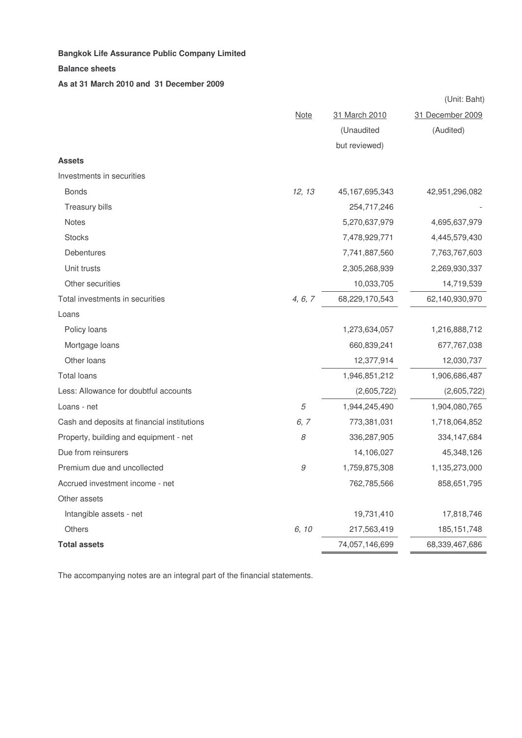#### **Balance sheets**

#### **As at 31 March 2010 and 31 December 2009**

|                                             |         |                | (Unit: Baht)     |
|---------------------------------------------|---------|----------------|------------------|
|                                             | Note    | 31 March 2010  | 31 December 2009 |
|                                             |         | (Unaudited     | (Audited)        |
|                                             |         | but reviewed)  |                  |
| <b>Assets</b>                               |         |                |                  |
| Investments in securities                   |         |                |                  |
| <b>Bonds</b>                                | 12, 13  | 45,167,695,343 | 42,951,296,082   |
| Treasury bills                              |         | 254,717,246    |                  |
| <b>Notes</b>                                |         | 5,270,637,979  | 4,695,637,979    |
| <b>Stocks</b>                               |         | 7,478,929,771  | 4,445,579,430    |
| Debentures                                  |         | 7,741,887,560  | 7,763,767,603    |
| Unit trusts                                 |         | 2,305,268,939  | 2,269,930,337    |
| Other securities                            |         | 10,033,705     | 14,719,539       |
| Total investments in securities             | 4, 6, 7 | 68,229,170,543 | 62,140,930,970   |
| Loans                                       |         |                |                  |
| Policy loans                                |         | 1,273,634,057  | 1,216,888,712    |
| Mortgage loans                              |         | 660,839,241    | 677,767,038      |
| Other loans                                 |         | 12,377,914     | 12,030,737       |
| <b>Total loans</b>                          |         | 1,946,851,212  | 1,906,686,487    |
| Less: Allowance for doubtful accounts       |         | (2,605,722)    | (2,605,722)      |
| Loans - net                                 | 5       | 1,944,245,490  | 1,904,080,765    |
| Cash and deposits at financial institutions | 6,7     | 773,381,031    | 1,718,064,852    |
| Property, building and equipment - net      | 8       | 336,287,905    | 334, 147, 684    |
| Due from reinsurers                         |         | 14,106,027     | 45,348,126       |
| Premium due and uncollected                 | 9       | 1,759,875,308  | 1,135,273,000    |
| Accrued investment income - net             |         | 762,785,566    | 858,651,795      |
| Other assets                                |         |                |                  |
| Intangible assets - net                     |         | 19,731,410     | 17,818,746       |
| <b>Others</b>                               | 6, 10   | 217,563,419    | 185, 151, 748    |
| <b>Total assets</b>                         |         | 74,057,146,699 | 68,339,467,686   |

The accompanying notes are an integral part of the financial statements.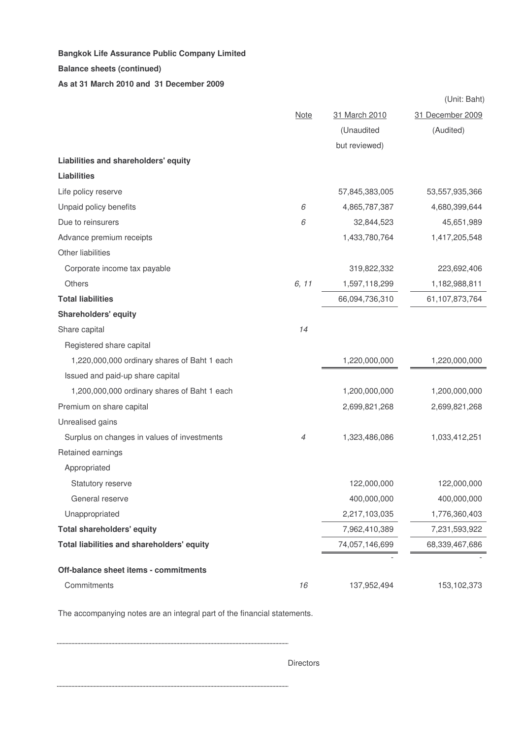#### **Balance sheets (continued)**

### **As at 31 March 2010 and 31 December 2009**

|                                              |             |                | (Unit: Baht)     |
|----------------------------------------------|-------------|----------------|------------------|
|                                              | <b>Note</b> | 31 March 2010  | 31 December 2009 |
|                                              |             | (Unaudited     | (Audited)        |
|                                              |             | but reviewed)  |                  |
| Liabilities and shareholders' equity         |             |                |                  |
| <b>Liabilities</b>                           |             |                |                  |
| Life policy reserve                          |             | 57,845,383,005 | 53,557,935,366   |
| Unpaid policy benefits                       | 6           | 4,865,787,387  | 4,680,399,644    |
| Due to reinsurers                            | 6           | 32,844,523     | 45,651,989       |
| Advance premium receipts                     |             | 1,433,780,764  | 1,417,205,548    |
| Other liabilities                            |             |                |                  |
| Corporate income tax payable                 |             | 319,822,332    | 223,692,406      |
| Others                                       | 6, 11       | 1,597,118,299  | 1,182,988,811    |
| <b>Total liabilities</b>                     |             | 66,094,736,310 | 61,107,873,764   |
| <b>Shareholders' equity</b>                  |             |                |                  |
| Share capital                                | 14          |                |                  |
| Registered share capital                     |             |                |                  |
| 1,220,000,000 ordinary shares of Baht 1 each |             | 1,220,000,000  | 1,220,000,000    |
| Issued and paid-up share capital             |             |                |                  |
| 1,200,000,000 ordinary shares of Baht 1 each |             | 1,200,000,000  | 1,200,000,000    |
| Premium on share capital                     |             | 2,699,821,268  | 2,699,821,268    |
| Unrealised gains                             |             |                |                  |
| Surplus on changes in values of investments  | 4           | 1,323,486,086  | 1,033,412,251    |
| Retained earnings                            |             |                |                  |
| Appropriated                                 |             |                |                  |
| Statutory reserve                            |             | 122,000,000    | 122,000,000      |
| General reserve                              |             | 400,000,000    | 400,000,000      |
| Unappropriated                               |             | 2,217,103,035  | 1,776,360,403    |
| <b>Total shareholders' equity</b>            |             | 7,962,410,389  | 7,231,593,922    |
| Total liabilities and shareholders' equity   |             | 74,057,146,699 | 68,339,467,686   |
|                                              |             |                |                  |
| Off-balance sheet items - commitments        |             |                |                  |
| Commitments                                  | 16          | 137,952,494    | 153,102,373      |

The accompanying notes are an integral part of the financial statements.

**Directors** 

. . . . . . . . . . . . . .......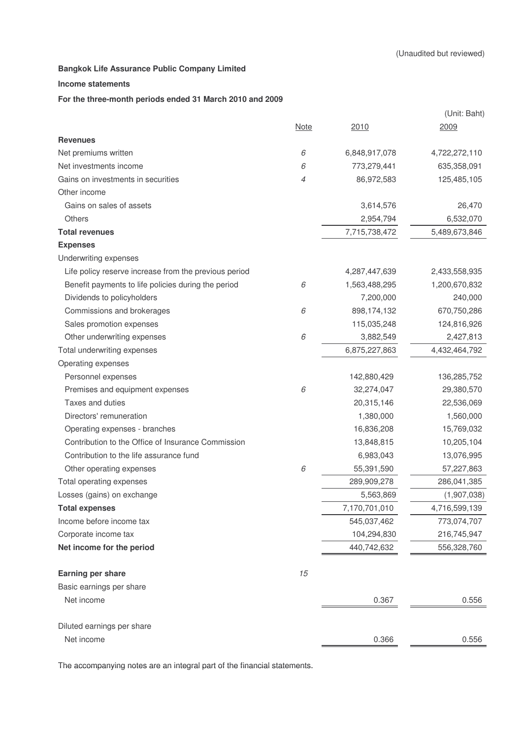#### **Income statements**

#### **For the three-month periods ended 31 March 2010 and 2009**

|                                                       |             |               | (Unit: Baht)  |
|-------------------------------------------------------|-------------|---------------|---------------|
|                                                       | <u>Note</u> | 2010          | 2009          |
| <b>Revenues</b>                                       |             |               |               |
| Net premiums written                                  | 6           | 6,848,917,078 | 4,722,272,110 |
| Net investments income                                | 6           | 773,279,441   | 635,358,091   |
| Gains on investments in securities                    | 4           | 86,972,583    | 125,485,105   |
| Other income                                          |             |               |               |
| Gains on sales of assets                              |             | 3,614,576     | 26,470        |
| Others                                                |             | 2,954,794     | 6,532,070     |
| <b>Total revenues</b>                                 |             | 7,715,738,472 | 5,489,673,846 |
| <b>Expenses</b>                                       |             |               |               |
| Underwriting expenses                                 |             |               |               |
| Life policy reserve increase from the previous period |             | 4,287,447,639 | 2,433,558,935 |
| Benefit payments to life policies during the period   | 6           | 1,563,488,295 | 1,200,670,832 |
| Dividends to policyholders                            |             | 7,200,000     | 240,000       |
| Commissions and brokerages                            | 6           | 898,174,132   | 670,750,286   |
| Sales promotion expenses                              |             | 115,035,248   | 124,816,926   |
| Other underwriting expenses                           | 6           | 3,882,549     | 2,427,813     |
| Total underwriting expenses                           |             | 6,875,227,863 | 4,432,464,792 |
| Operating expenses                                    |             |               |               |
| Personnel expenses                                    |             | 142,880,429   | 136,285,752   |
| Premises and equipment expenses                       | 6           | 32,274,047    | 29,380,570    |
| Taxes and duties                                      |             | 20,315,146    | 22,536,069    |
| Directors' remuneration                               |             | 1,380,000     | 1,560,000     |
| Operating expenses - branches                         |             | 16,836,208    | 15,769,032    |
| Contribution to the Office of Insurance Commission    |             | 13,848,815    | 10,205,104    |
| Contribution to the life assurance fund               |             | 6,983,043     | 13,076,995    |
| Other operating expenses                              | 6           | 55,391,590    | 57,227,863    |
| Total operating expenses                              |             | 289,909,278   | 286,041,385   |
| Losses (gains) on exchange                            |             | 5,563,869     | (1,907,038)   |
| <b>Total expenses</b>                                 |             | 7,170,701,010 | 4,716,599,139 |
| Income before income tax                              |             | 545,037,462   | 773,074,707   |
| Corporate income tax                                  |             | 104,294,830   | 216,745,947   |
| Net income for the period                             |             | 440,742,632   | 556,328,760   |
| Earning per share                                     | 15          |               |               |
| Basic earnings per share                              |             |               |               |
| Net income                                            |             | 0.367         | 0.556         |
| Diluted earnings per share                            |             |               |               |
| Net income                                            |             | 0.366         | 0.556         |

The accompanying notes are an integral part of the financial statements.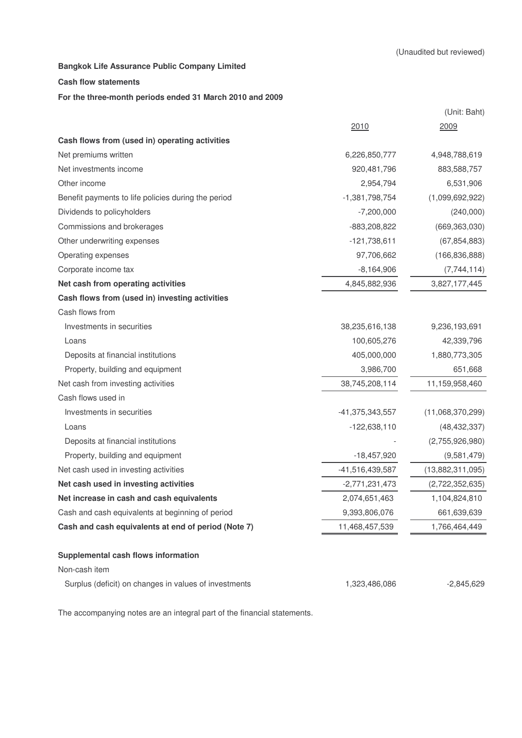#### **Cash flow statements**

#### **For the three-month periods ended 31 March 2010 and 2009**

|                                                       |                  | (Unit: Baht)     |
|-------------------------------------------------------|------------------|------------------|
|                                                       | 2010             | 2009             |
| Cash flows from (used in) operating activities        |                  |                  |
| Net premiums written                                  | 6,226,850,777    | 4,948,788,619    |
| Net investments income                                | 920,481,796      | 883,588,757      |
| Other income                                          | 2,954,794        | 6,531,906        |
| Benefit payments to life policies during the period   | $-1,381,798,754$ | (1,099,692,922)  |
| Dividends to policyholders                            | $-7,200,000$     | (240,000)        |
| Commissions and brokerages                            | -883,208,822     | (669, 363, 030)  |
| Other underwriting expenses                           | $-121,738,611$   | (67, 854, 883)   |
| Operating expenses                                    | 97,706,662       | (166, 836, 888)  |
| Corporate income tax                                  | $-8,164,906$     | (7,744,114)      |
| Net cash from operating activities                    | 4,845,882,936    | 3,827,177,445    |
| Cash flows from (used in) investing activities        |                  |                  |
| Cash flows from                                       |                  |                  |
| Investments in securities                             | 38,235,616,138   | 9,236,193,691    |
| Loans                                                 | 100,605,276      | 42,339,796       |
| Deposits at financial institutions                    | 405,000,000      | 1,880,773,305    |
| Property, building and equipment                      | 3,986,700        | 651,668          |
| Net cash from investing activities                    | 38,745,208,114   | 11,159,958,460   |
| Cash flows used in                                    |                  |                  |
| Investments in securities                             | -41,375,343,557  | (11,068,370,299) |
| Loans                                                 | $-122,638,110$   | (48, 432, 337)   |
| Deposits at financial institutions                    |                  | (2,755,926,980)  |
| Property, building and equipment                      | $-18,457,920$    | (9,581,479)      |
| Net cash used in investing activities                 | -41,516,439,587  | (13,882,311,095) |
| Net cash used in investing activities                 | $-2,771,231,473$ | (2,722,352,635)  |
| Net increase in cash and cash equivalents             | 2,074,651,463    | 1,104,824,810    |
| Cash and cash equivalents at beginning of period      | 9,393,806,076    | 661,639,639      |
| Cash and cash equivalents at end of period (Note 7)   | 11,468,457,539   | 1,766,464,449    |
| Supplemental cash flows information                   |                  |                  |
| Non-cash item                                         |                  |                  |
| Surplus (deficit) on changes in values of investments | 1,323,486,086    | $-2,845,629$     |

The accompanying notes are an integral part of the financial statements.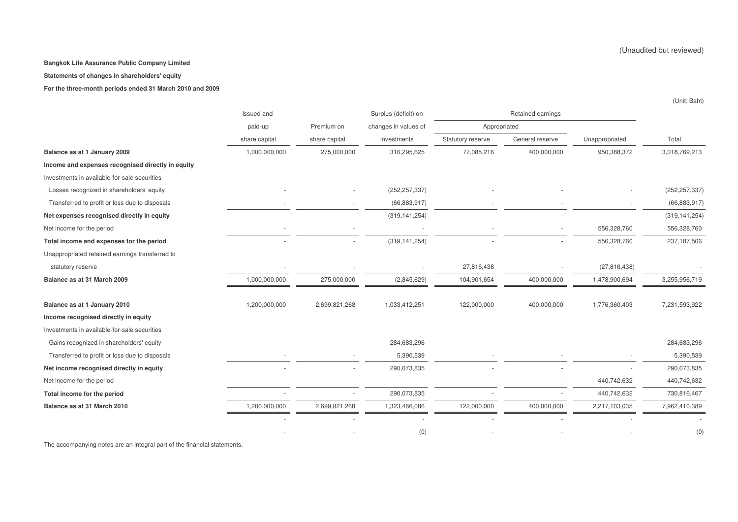**Statements of changes in shareholders' equity**

**For the three-month periods ended 31 March 2010 and 2009**

|                                                   | Issued and    |               | Surplus (deficit) on |                   | Retained earnings |                |                 |
|---------------------------------------------------|---------------|---------------|----------------------|-------------------|-------------------|----------------|-----------------|
|                                                   | paid-up       | Premium on    | changes in values of | Appropriated      |                   |                |                 |
|                                                   | share capital | share capital | investments          | Statutory reserve | General reserve   | Unappropriated | Total           |
| Balance as at 1 January 2009                      | 1,000,000,000 | 275,000,000   | 316,295,625          | 77,085,216        | 400,000,000       | 950,388,372    | 3,018,769,213   |
| Income and expenses recognised directly in equity |               |               |                      |                   |                   |                |                 |
| Investments in available-for-sale securities      |               |               |                      |                   |                   |                |                 |
| Losses recognized in shareholders' equity         |               |               | (252, 257, 337)      |                   |                   |                | (252, 257, 337) |
| Transferred to profit or loss due to disposals    |               |               | (66, 883, 917)       |                   |                   |                | (66, 883, 917)  |
| Net expenses recognised directly in equity        |               |               | (319, 141, 254)      |                   |                   |                | (319, 141, 254) |
| Net income for the period                         |               |               |                      |                   |                   | 556,328,760    | 556,328,760     |
| Total income and expenses for the period          |               |               | (319, 141, 254)      |                   |                   | 556,328,760    | 237, 187, 506   |
| Unappropriated retained earnings transferred to   |               |               |                      |                   |                   |                |                 |
| statutory reserve                                 |               |               |                      | 27,816,438        |                   | (27, 816, 438) |                 |
| Balance as at 31 March 2009                       | 1,000,000,000 | 275,000,000   | (2,845,629)          | 104,901,654       | 400,000,000       | 1,478,900,694  | 3,255,956,719   |
|                                                   |               |               |                      |                   |                   |                |                 |
| Balance as at 1 January 2010                      | 1,200,000,000 | 2,699,821,268 | 1,033,412,251        | 122,000,000       | 400,000,000       | 1,776,360,403  | 7,231,593,922   |
| Income recognised directly in equity              |               |               |                      |                   |                   |                |                 |
| Investments in available-for-sale securities      |               |               |                      |                   |                   |                |                 |
| Gains recognized in shareholders' equity          |               |               | 284,683,296          |                   |                   |                | 284,683,296     |
| Transferred to profit or loss due to disposals    |               |               | 5,390,539            |                   |                   |                | 5,390,539       |
| Net income recognised directly in equity          |               |               | 290,073,835          |                   |                   |                | 290,073,835     |
| Net income for the period                         |               |               |                      |                   |                   | 440,742,632    | 440,742,632     |
| Total income for the period                       |               |               | 290,073,835          |                   |                   | 440,742,632    | 730,816,467     |
| Balance as at 31 March 2010                       | 1,200,000,000 | 2,699,821,268 | 1,323,486,086        | 122,000,000       | 400,000,000       | 2,217,103,035  | 7,962,410,389   |
|                                                   |               |               |                      |                   |                   |                |                 |
|                                                   |               |               | (0)                  |                   |                   |                | (0)             |

The accompanying notes are an integral part of the financial statements.

(Unaudited but reviewed)

(Unit: Baht)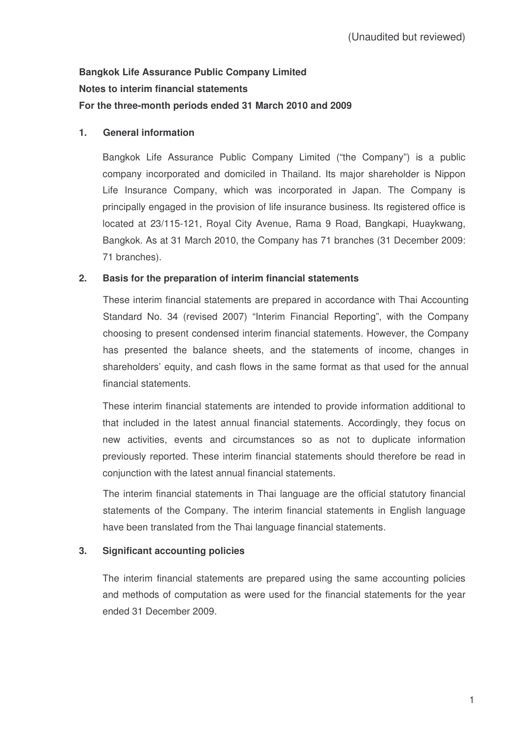# **Bangkok Life Assurance Public Company Limited Notes to interim financial statements For the three-month periods ended 31 March 2010 and 2009**

# **1. General information**

Bangkok Life Assurance Public Company Limited ("the Company") is a public company incorporated and domiciled in Thailand. Its major shareholder is Nippon Life Insurance Company, which was incorporated in Japan. The Company is principally engaged in the provision of life insurance business. Its registered office is located at 23/115-121, Royal City Avenue, Rama 9 Road, Bangkapi, Huaykwang, Bangkok. As at 31 March 2010, the Company has 71 branches (31 December 2009: 71 branches).

# **2. Basis for the preparation of interim financial statements**

These interim financial statements are prepared in accordance with Thai Accounting Standard No. 34 (revised 2007) "Interim Financial Reporting", with the Company choosing to present condensed interim financial statements. However, the Company has presented the balance sheets, and the statements of income, changes in shareholders' equity, and cash flows in the same format as that used for the annual financial statements.

These interim financial statements are intended to provide information additional to that included in the latest annual financial statements. Accordingly, they focus on new activities, events and circumstances so as not to duplicate information previously reported. These interim financial statements should therefore be read in conjunction with the latest annual financial statements.

The interim financial statements in Thai language are the official statutory financial statements of the Company. The interim financial statements in English language have been translated from the Thai language financial statements.

# **3. Significant accounting policies**

The interim financial statements are prepared using the same accounting policies and methods of computation as were used for the financial statements for the year ended 31 December 2009.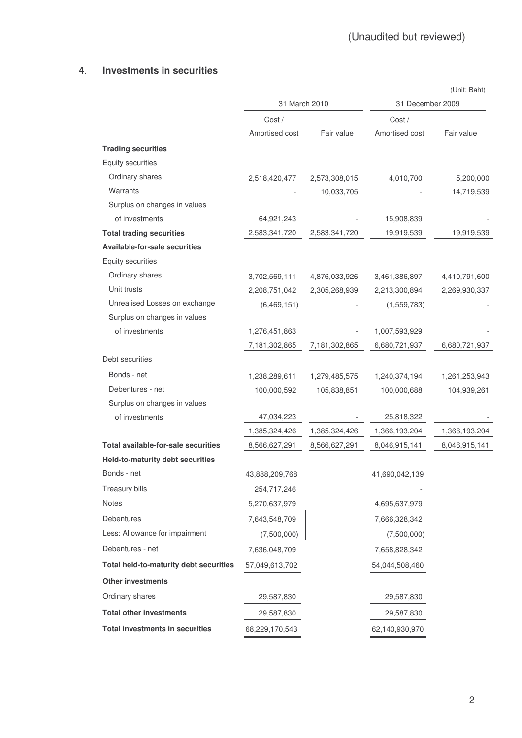# **4 Investments in securities**

|                                            |                |               |                  | (Unit: Baht)  |
|--------------------------------------------|----------------|---------------|------------------|---------------|
|                                            | 31 March 2010  |               | 31 December 2009 |               |
|                                            | Cost /         |               | Cost /           |               |
|                                            | Amortised cost | Fair value    | Amortised cost   | Fair value    |
| <b>Trading securities</b>                  |                |               |                  |               |
| <b>Equity securities</b>                   |                |               |                  |               |
| Ordinary shares                            | 2,518,420,477  | 2,573,308,015 | 4,010,700        | 5,200,000     |
| Warrants                                   |                | 10,033,705    |                  | 14,719,539    |
| Surplus on changes in values               |                |               |                  |               |
| of investments                             | 64,921,243     |               | 15,908,839       |               |
| <b>Total trading securities</b>            | 2,583,341,720  | 2,583,341,720 | 19,919,539       | 19,919,539    |
| <b>Available-for-sale securities</b>       |                |               |                  |               |
| <b>Equity securities</b>                   |                |               |                  |               |
| Ordinary shares                            | 3,702,569,111  | 4,876,033,926 | 3,461,386,897    | 4,410,791,600 |
| Unit trusts                                | 2,208,751,042  | 2,305,268,939 | 2,213,300,894    | 2,269,930,337 |
| Unrealised Losses on exchange              | (6,469,151)    |               | (1,559,783)      |               |
| Surplus on changes in values               |                |               |                  |               |
| of investments                             | 1,276,451,863  |               | 1,007,593,929    |               |
|                                            | 7,181,302,865  | 7,181,302,865 | 6,680,721,937    | 6,680,721,937 |
| Debt securities                            |                |               |                  |               |
| Bonds - net                                | 1,238,289,611  | 1,279,485,575 | 1,240,374,194    | 1,261,253,943 |
| Debentures - net                           | 100,000,592    | 105,838,851   | 100,000,688      | 104,939,261   |
| Surplus on changes in values               |                |               |                  |               |
| of investments                             | 47,034,223     |               | 25,818,322       |               |
|                                            | 1,385,324,426  | 1,385,324,426 | 1,366,193,204    | 1,366,193,204 |
| <b>Total available-for-sale securities</b> | 8,566,627,291  | 8,566,627,291 | 8,046,915,141    | 8,046,915,141 |
| Held-to-maturity debt securities           |                |               |                  |               |
| Bonds - net                                | 43,888,209,768 |               | 41,690,042,139   |               |
| Treasury bills                             | 254,717,246    |               |                  |               |
| Notes                                      | 5,270,637,979  |               | 4,695,637,979    |               |
| Debentures                                 | 7,643,548,709  |               | 7,666,328,342    |               |
| Less: Allowance for impairment             | (7,500,000)    |               | (7,500,000)      |               |
| Debentures - net                           | 7,636,048,709  |               | 7,658,828,342    |               |
| Total held-to-maturity debt securities     | 57,049,613,702 |               | 54,044,508,460   |               |
| <b>Other investments</b>                   |                |               |                  |               |
| Ordinary shares                            | 29,587,830     |               | 29,587,830       |               |
| <b>Total other investments</b>             | 29,587,830     |               | 29,587,830       |               |
| <b>Total investments in securities</b>     | 68,229,170,543 |               | 62,140,930,970   |               |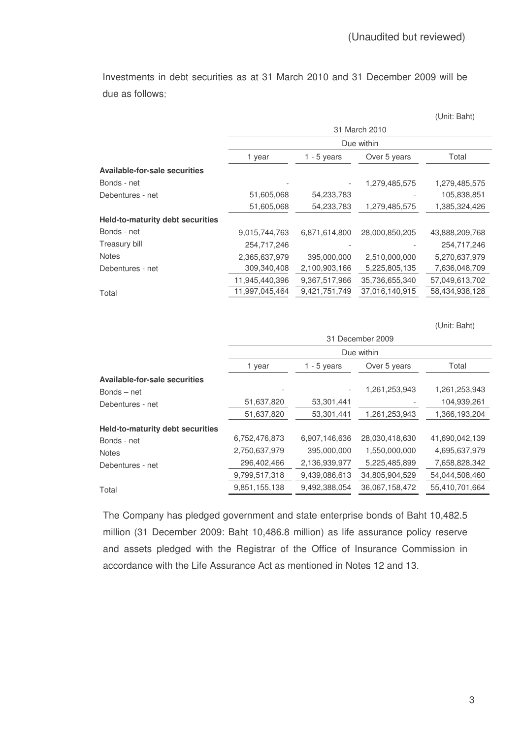Investments in debt securities as at 31 March 2010 and 31 December 2009 will be due as follows

|                                         |                |               |                | (Unit: Baht)   |  |  |
|-----------------------------------------|----------------|---------------|----------------|----------------|--|--|
|                                         | 31 March 2010  |               |                |                |  |  |
|                                         |                |               | Due within     |                |  |  |
|                                         | 1 year         | $1 - 5$ years | Over 5 years   | Total          |  |  |
| <b>Available-for-sale securities</b>    |                |               |                |                |  |  |
| Bonds - net                             |                |               | 1,279,485,575  | 1,279,485,575  |  |  |
| Debentures - net                        | 51,605,068     | 54,233,783    |                | 105,838,851    |  |  |
|                                         | 51,605,068     | 54,233,783    | 1,279,485,575  | 1,385,324,426  |  |  |
| <b>Held-to-maturity debt securities</b> |                |               |                |                |  |  |
| Bonds - net                             | 9,015,744,763  | 6,871,614,800 | 28,000,850,205 | 43,888,209,768 |  |  |
| Treasury bill                           | 254,717,246    |               |                | 254,717,246    |  |  |
| <b>Notes</b>                            | 2,365,637,979  | 395,000,000   | 2,510,000,000  | 5,270,637,979  |  |  |
| Debentures - net                        | 309,340,408    | 2,100,903,166 | 5,225,805,135  | 7,636,048,709  |  |  |
|                                         | 11,945,440,396 | 9,367,517,966 | 35,736,655,340 | 57,049,613,702 |  |  |
| Total                                   | 11,997,045,464 | 9,421,751,749 | 37,016,140,915 | 58,434,938,128 |  |  |

(Unit: Baht)

| Due within    |               |                |                  |  |  |  |
|---------------|---------------|----------------|------------------|--|--|--|
| 1 year        | 1 - 5 years   | Over 5 years   | Total            |  |  |  |
|               |               |                |                  |  |  |  |
|               |               | 1,261,253,943  | 1,261,253,943    |  |  |  |
| 51,637,820    | 53,301,441    |                | 104,939,261      |  |  |  |
| 51,637,820    | 53,301,441    | 1,261,253,943  | 1,366,193,204    |  |  |  |
|               |               |                |                  |  |  |  |
| 6,752,476,873 | 6,907,146,636 | 28,030,418,630 | 41,690,042,139   |  |  |  |
| 2,750,637,979 | 395,000,000   | 1,550,000,000  | 4,695,637,979    |  |  |  |
| 296,402,466   | 2,136,939,977 | 5,225,485,899  | 7,658,828,342    |  |  |  |
| 9,799,517,318 | 9,439,086,613 | 34,805,904,529 | 54,044,508,460   |  |  |  |
| 9,851,155,138 | 9,492,388,054 | 36,067,158,472 | 55,410,701,664   |  |  |  |
|               |               |                | 31 December 2009 |  |  |  |

The Company has pledged government and state enterprise bonds of Baht 10,482.5 million (31 December 2009: Baht 10,486.8 million) as life assurance policy reserve and assets pledged with the Registrar of the Office of Insurance Commission in accordance with the Life Assurance Act as mentioned in Notes 12 and 13.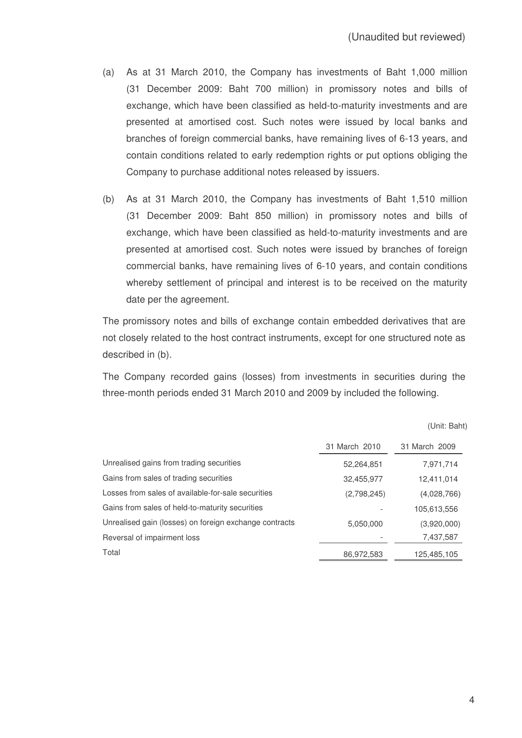- (a) As at 31 March 2010, the Company has investments of Baht 1,000 million (31 December 2009: Baht 700 million) in promissory notes and bills of exchange, which have been classified as held-to-maturity investments and are presented at amortised cost. Such notes were issued by local banks and branches of foreign commercial banks, have remaining lives of 6-13 years, and contain conditions related to early redemption rights or put options obliging the Company to purchase additional notes released by issuers.
- (b) As at 31 March 2010, the Company has investments of Baht 1,510 million (31 December 2009: Baht 850 million) in promissory notes and bills of exchange, which have been classified as held-to-maturity investments and are presented at amortised cost. Such notes were issued by branches of foreign commercial banks, have remaining lives of 6-10 years, and contain conditions whereby settlement of principal and interest is to be received on the maturity date per the agreement.

The promissory notes and bills of exchange contain embedded derivatives that are not closely related to the host contract instruments, except for one structured note as described in (b).

The Company recorded gains (losses) from investments in securities during the three-month periods ended 31 March 2010 and 2009 by included the following.

|                                                        | 31 March 2010 | 31 March 2009 |
|--------------------------------------------------------|---------------|---------------|
| Unrealised gains from trading securities               | 52,264,851    | 7,971,714     |
| Gains from sales of trading securities                 | 32,455,977    | 12,411,014    |
| Losses from sales of available-for-sale securities     | (2,798,245)   | (4,028,766)   |
| Gains from sales of held-to-maturity securities        |               | 105,613,556   |
| Unrealised gain (losses) on foreign exchange contracts | 5,050,000     | (3,920,000)   |
| Reversal of impairment loss                            |               | 7,437,587     |
| Total                                                  | 86,972,583    | 125,485,105   |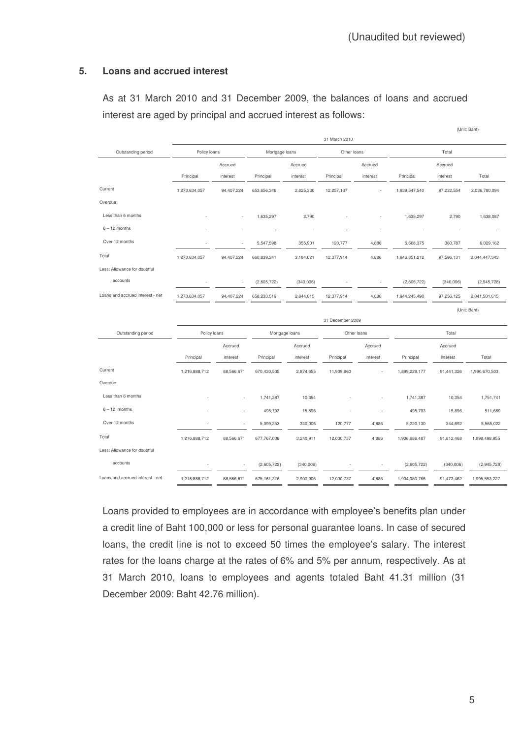## **5. Loans and accrued interest**

As at 31 March 2010 and 31 December 2009, the balances of loans and accrued interest are aged by principal and accrued interest as follows:

|                                  |               |            |                |           |                  |             |               |            | (Unit: Baht)  |
|----------------------------------|---------------|------------|----------------|-----------|------------------|-------------|---------------|------------|---------------|
|                                  |               |            |                |           | 31 March 2010    |             |               |            |               |
| Outstanding period               | Policy loans  |            | Mortgage loans |           | Other loans      |             |               | Total      |               |
|                                  |               | Accrued    |                | Accrued   |                  | Accrued     |               | Accrued    |               |
|                                  | Principal     | interest   | Principal      | interest  | Principal        | interest    | Principal     | interest   | Total         |
| Current                          | 1,273,634,057 | 94,407,224 | 653,656,346    | 2,825,330 | 12,257,137       |             | 1,939,547,540 | 97,232,554 | 2,036,780,094 |
| Overdue:                         |               |            |                |           |                  |             |               |            |               |
| Less than 6 months               |               |            | 1,635,297      | 2,790     |                  |             | 1,635,297     | 2,790      | 1,638,087     |
| $6 - 12$ months                  |               |            |                |           |                  |             |               |            |               |
| Over 12 months                   |               |            | 5,547,598      | 355,901   | 120,777          | 4,886       | 5,668,375     | 360,787    | 6,029,162     |
| Total                            | 1,273,634,057 | 94,407,224 | 660,839,241    | 3,184,021 | 12,377,914       | 4,886       | 1,946,851,212 | 97,596,131 | 2,044,447,343 |
| Less: Allowance for doubtful     |               |            |                |           |                  |             |               |            |               |
| accounts                         |               |            | (2,605,722)    | (340,006) |                  |             | (2,605,722)   | (340,006)  | (2,945,728)   |
| Loans and accrued interest - net | 1,273,634,057 | 94,407,224 | 658,233,519    | 2,844,015 | 12,377,914       | 4,886       | 1,944,245,490 | 97,256,125 | 2,041,501,615 |
|                                  |               |            |                |           |                  |             |               |            | (Unit: Baht)  |
|                                  |               |            |                |           | 31 December 2009 |             |               |            |               |
| Outstanding period               | Policy loans  |            | Mortgage loans |           |                  | Other loans |               | Total      |               |
|                                  |               | Accrued    |                | Accrued   |                  | Accrued     |               | Accrued    |               |
|                                  | Principal     | interest   | Principal      | interest  | Principal        | interest    | Principal     | interest   | Total         |
| Current                          | 1,216,888,712 | 88,566,671 | 670,430,505    | 2,874,655 | 11,909,960       |             | 1,899,229,177 | 91,441,326 | 1,990,670,503 |
| Overdue:                         |               |            |                |           |                  |             |               |            |               |
| Less than 6 months               |               |            | 1,741,387      | 10,354    |                  |             | 1,741,387     | 10,354     | 1,751,741     |
| $6 - 12$ months                  |               |            | 495,793        | 15,896    |                  |             | 495,793       | 15,896     | 511,689       |
| Over 12 months                   |               |            | 5,099,353      | 340,006   | 120,777          | 4,886       | 5,220,130     | 344,892    | 5,565,022     |
| Total                            | 1,216,888,712 | 88,566,671 | 677,767,038    | 3,240,911 | 12,030,737       | 4,886       | 1,906,686,487 | 91,812,468 | 1,998,498,955 |
| Less: Allowance for doubtful     |               |            |                |           |                  |             |               |            |               |
| accounts                         |               |            | (2,605,722)    | (340,006) |                  |             | (2,605,722)   | (340,006)  | (2,945,728)   |
| Loans and accrued interest - net | 1,216,888,712 | 88,566,671 | 675, 161, 316  | 2,900,905 | 12,030,737       | 4,886       | 1,904,080,765 | 91,472,462 | 1,995,553,227 |

Loans provided to employees are in accordance with employee's benefits plan under a credit line of Baht 100,000 or less for personal guarantee loans. In case of secured loans, the credit line is not to exceed 50 times the employee's salary. The interest rates for the loans charge at the rates of 6% and 5% per annum, respectively. As at 31 March 2010, loans to employees and agents totaled Baht 41.31 million (31 December 2009: Baht 42.76 million).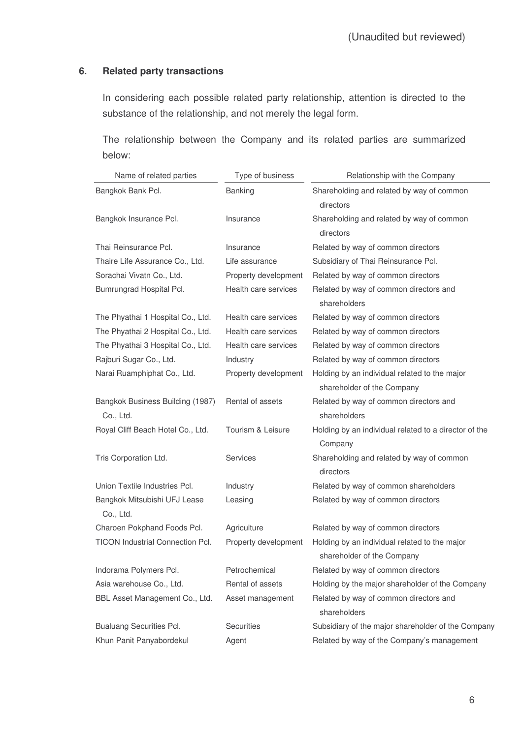# **6. Related party transactions**

In considering each possible related party relationship, attention is directed to the substance of the relationship, and not merely the legal form.

The relationship between the Company and its related parties are summarized below:

| Name of related parties                       | Type of business     | Relationship with the Company                                               |
|-----------------------------------------------|----------------------|-----------------------------------------------------------------------------|
| Bangkok Bank Pcl.                             | Banking              | Shareholding and related by way of common<br>directors                      |
| Bangkok Insurance Pcl.                        | Insurance            | Shareholding and related by way of common<br>directors                      |
| Thai Reinsurance Pcl.                         | Insurance            | Related by way of common directors                                          |
| Thaire Life Assurance Co., Ltd.               | Life assurance       | Subsidiary of Thai Reinsurance Pcl.                                         |
| Sorachai Vivatn Co., Ltd.                     | Property development | Related by way of common directors                                          |
| Bumrungrad Hospital Pcl.                      | Health care services | Related by way of common directors and<br>shareholders                      |
| The Phyathai 1 Hospital Co., Ltd.             | Health care services | Related by way of common directors                                          |
| The Phyathai 2 Hospital Co., Ltd.             | Health care services | Related by way of common directors                                          |
| The Phyathai 3 Hospital Co., Ltd.             | Health care services | Related by way of common directors                                          |
| Rajburi Sugar Co., Ltd.                       | Industry             | Related by way of common directors                                          |
| Narai Ruamphiphat Co., Ltd.                   | Property development | Holding by an individual related to the major<br>shareholder of the Company |
| Bangkok Business Building (1987)<br>Co., Ltd. | Rental of assets     | Related by way of common directors and<br>shareholders                      |
| Royal Cliff Beach Hotel Co., Ltd.             | Tourism & Leisure    | Holding by an individual related to a director of the<br>Company            |
| Tris Corporation Ltd.                         | Services             | Shareholding and related by way of common<br>directors                      |
| Union Textile Industries Pcl.                 | Industry             | Related by way of common shareholders                                       |
| Bangkok Mitsubishi UFJ Lease<br>Co., Ltd.     | Leasing              | Related by way of common directors                                          |
| Charoen Pokphand Foods Pcl.                   | Agriculture          | Related by way of common directors                                          |
| <b>TICON Industrial Connection Pcl.</b>       | Property development | Holding by an individual related to the major<br>shareholder of the Company |
| Indorama Polymers Pcl.                        | Petrochemical        | Related by way of common directors                                          |
| Asia warehouse Co., Ltd.                      | Rental of assets     | Holding by the major shareholder of the Company                             |
| BBL Asset Management Co., Ltd.                | Asset management     | Related by way of common directors and<br>shareholders                      |
| <b>Bualuang Securities Pcl.</b>               | <b>Securities</b>    | Subsidiary of the major shareholder of the Company                          |
| Khun Panit Panyabordekul                      | Agent                | Related by way of the Company's management                                  |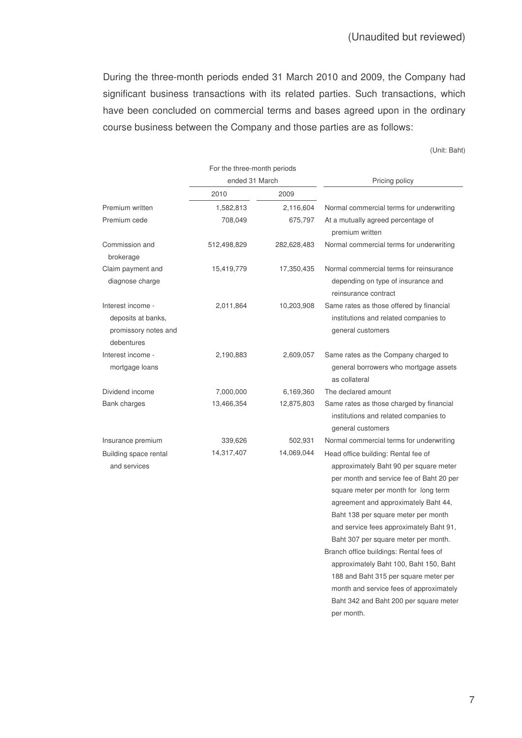During the three-month periods ended 31 March 2010 and 2009, the Company had significant business transactions with its related parties. Such transactions, which have been concluded on commercial terms and bases agreed upon in the ordinary course business between the Company and those parties are as follows:

(Unit: Baht)

|                                                                               | For the three-month periods |             |                                                                                                                                                                                                                                                  |  |  |
|-------------------------------------------------------------------------------|-----------------------------|-------------|--------------------------------------------------------------------------------------------------------------------------------------------------------------------------------------------------------------------------------------------------|--|--|
|                                                                               | ended 31 March              |             | Pricing policy                                                                                                                                                                                                                                   |  |  |
|                                                                               | 2010                        | 2009        |                                                                                                                                                                                                                                                  |  |  |
| Premium written                                                               | 1,582,813                   | 2,116,604   | Normal commercial terms for underwriting                                                                                                                                                                                                         |  |  |
| Premium cede                                                                  | 708,049                     | 675,797     | At a mutually agreed percentage of<br>premium written                                                                                                                                                                                            |  |  |
| Commission and<br>brokerage                                                   | 512,498,829                 | 282,628,483 | Normal commercial terms for underwriting                                                                                                                                                                                                         |  |  |
| Claim payment and<br>diagnose charge                                          | 15,419,779                  | 17,350,435  | Normal commercial terms for reinsurance<br>depending on type of insurance and<br>reinsurance contract                                                                                                                                            |  |  |
| Interest income -<br>deposits at banks,<br>promissory notes and<br>debentures | 2,011,864                   | 10,203,908  | Same rates as those offered by financial<br>institutions and related companies to<br>general customers                                                                                                                                           |  |  |
| Interest income -<br>mortgage loans                                           | 2,190,883                   | 2,609,057   | Same rates as the Company charged to<br>general borrowers who mortgage assets<br>as collateral                                                                                                                                                   |  |  |
| Dividend income                                                               | 7,000,000                   | 6,169,360   | The declared amount                                                                                                                                                                                                                              |  |  |
| <b>Bank charges</b>                                                           | 13,466,354                  | 12,875,803  | Same rates as those charged by financial<br>institutions and related companies to<br>general customers                                                                                                                                           |  |  |
| Insurance premium                                                             | 339,626                     | 502,931     | Normal commercial terms for underwriting                                                                                                                                                                                                         |  |  |
| Building space rental<br>and services                                         | 14,317,407                  | 14,069,044  | Head office building: Rental fee of<br>approximately Baht 90 per square meter<br>per month and service fee of Baht 20 per<br>square meter per month for long term<br>agreement and approximately Baht 44,<br>Baht 138 per square meter per month |  |  |
|                                                                               |                             |             | and service fees approximately Baht 91,<br>Baht 307 per square meter per month.                                                                                                                                                                  |  |  |
|                                                                               |                             |             | Branch office buildings: Rental fees of                                                                                                                                                                                                          |  |  |
|                                                                               |                             |             | approximately Baht 100, Baht 150, Baht                                                                                                                                                                                                           |  |  |
|                                                                               |                             |             | 188 and Baht 315 per square meter per                                                                                                                                                                                                            |  |  |
|                                                                               |                             |             | month and service fees of approximately                                                                                                                                                                                                          |  |  |
|                                                                               |                             |             | Baht 342 and Baht 200 per square meter                                                                                                                                                                                                           |  |  |

per month.

7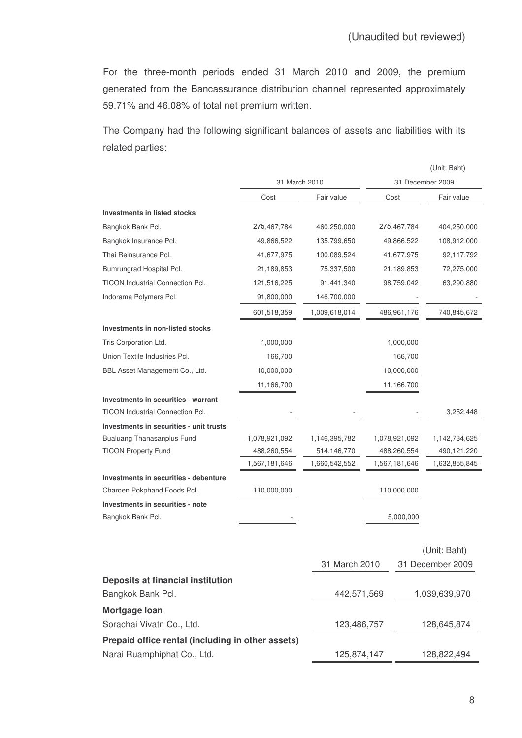For the three-month periods ended 31 March 2010 and 2009, the premium generated from the Bancassurance distribution channel represented approximately 59.71% and 46.08% of total net premium written.

The Company had the following significant balances of assets and liabilities with its related parties:

|                                                   |               |               |                  |               | (Unit: Baht)     |
|---------------------------------------------------|---------------|---------------|------------------|---------------|------------------|
|                                                   | 31 March 2010 |               | 31 December 2009 |               |                  |
|                                                   | Cost          | Fair value    | Cost             |               | Fair value       |
| <b>Investments in listed stocks</b>               |               |               |                  |               |                  |
| Bangkok Bank Pcl.                                 | 275,467,784   | 460,250,000   |                  | 275,467,784   | 404,250,000      |
| Bangkok Insurance Pcl.                            | 49,866,522    | 135,799,650   |                  | 49,866,522    | 108,912,000      |
| Thai Reinsurance Pcl.                             | 41,677,975    | 100,089,524   |                  | 41,677,975    | 92,117,792       |
| Bumrungrad Hospital Pcl.                          | 21,189,853    | 75,337,500    |                  | 21,189,853    | 72,275,000       |
| <b>TICON Industrial Connection Pcl.</b>           | 121,516,225   | 91,441,340    |                  | 98,759,042    | 63,290,880       |
| Indorama Polymers Pcl.                            | 91,800,000    | 146,700,000   |                  |               |                  |
|                                                   | 601,518,359   | 1,009,618,014 |                  | 486,961,176   | 740,845,672      |
| Investments in non-listed stocks                  |               |               |                  |               |                  |
| Tris Corporation Ltd.                             | 1,000,000     |               |                  | 1,000,000     |                  |
| Union Textile Industries Pcl.                     | 166,700       |               |                  | 166,700       |                  |
| BBL Asset Management Co., Ltd.                    | 10,000,000    |               |                  | 10,000,000    |                  |
|                                                   | 11,166,700    |               |                  | 11,166,700    |                  |
| Investments in securities - warrant               |               |               |                  |               |                  |
| <b>TICON Industrial Connection Pcl.</b>           |               |               |                  |               | 3,252,448        |
| Investments in securities - unit trusts           |               |               |                  |               |                  |
| <b>Bualuang Thanasanplus Fund</b>                 | 1,078,921,092 | 1,146,395,782 |                  | 1,078,921,092 | 1,142,734,625    |
| <b>TICON Property Fund</b>                        | 488,260,554   | 514,146,770   |                  | 488,260,554   | 490,121,220      |
|                                                   | 1,567,181,646 | 1,660,542,552 |                  | 1,567,181,646 | 1,632,855,845    |
| Investments in securities - debenture             |               |               |                  |               |                  |
| Charoen Pokphand Foods Pcl.                       | 110,000,000   |               |                  | 110,000,000   |                  |
| Investments in securities - note                  |               |               |                  |               |                  |
| Bangkok Bank Pcl.                                 |               |               |                  | 5,000,000     |                  |
|                                                   |               |               |                  |               |                  |
|                                                   |               |               |                  |               | (Unit: Baht)     |
|                                                   |               | 31 March 2010 |                  |               | 31 December 2009 |
| Deposits at financial institution                 |               |               |                  |               |                  |
| Bangkok Bank Pcl.                                 |               | 442,571,569   |                  | 1,039,639,970 |                  |
| Mortgage Ioan                                     |               |               |                  |               |                  |
| Sorachai Vivatn Co., Ltd.                         |               | 123,486,757   |                  |               | 128,645,874      |
| Prepaid office rental (including in other assets) |               |               |                  |               |                  |
| Narai Ruamphiphat Co., Ltd.                       |               | 125,874,147   |                  |               | 128,822,494      |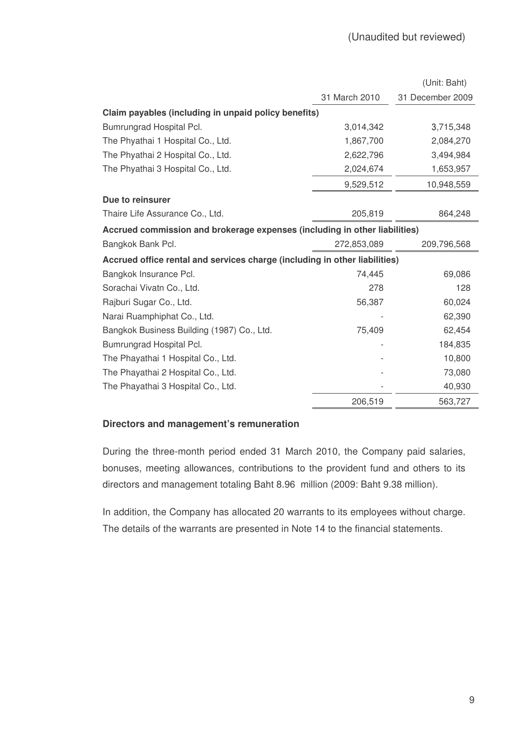|                                                                            |               | (Unit: Baht)     |  |  |
|----------------------------------------------------------------------------|---------------|------------------|--|--|
|                                                                            | 31 March 2010 | 31 December 2009 |  |  |
| Claim payables (including in unpaid policy benefits)                       |               |                  |  |  |
| Bumrungrad Hospital Pcl.                                                   | 3,014,342     | 3,715,348        |  |  |
| The Phyathai 1 Hospital Co., Ltd.                                          | 1,867,700     | 2,084,270        |  |  |
| The Phyathai 2 Hospital Co., Ltd.                                          | 2,622,796     | 3,494,984        |  |  |
| The Phyathai 3 Hospital Co., Ltd.                                          | 2,024,674     | 1,653,957        |  |  |
|                                                                            | 9,529,512     | 10,948,559       |  |  |
| Due to reinsurer                                                           |               |                  |  |  |
| Thaire Life Assurance Co., Ltd.                                            | 205,819       | 864,248          |  |  |
| Accrued commission and brokerage expenses (including in other liabilities) |               |                  |  |  |
| Bangkok Bank Pcl.                                                          | 272,853,089   | 209,796,568      |  |  |
| Accrued office rental and services charge (including in other liabilities) |               |                  |  |  |
| Bangkok Insurance Pcl.                                                     | 74,445        | 69,086           |  |  |
| Sorachai Vivatn Co., Ltd.                                                  | 278           | 128              |  |  |
| Rajburi Sugar Co., Ltd.                                                    | 56,387        | 60,024           |  |  |
| Narai Ruamphiphat Co., Ltd.                                                |               | 62,390           |  |  |
| Bangkok Business Building (1987) Co., Ltd.                                 | 75,409        | 62,454           |  |  |
| Bumrungrad Hospital Pcl.                                                   |               | 184,835          |  |  |
| The Phayathai 1 Hospital Co., Ltd.                                         |               | 10,800           |  |  |
| The Phayathai 2 Hospital Co., Ltd.                                         |               | 73,080           |  |  |
| The Phayathai 3 Hospital Co., Ltd.                                         |               | 40,930           |  |  |
|                                                                            | 206,519       | 563,727          |  |  |

# **Directors and management's remuneration**

During the three-month period ended 31 March 2010, the Company paid salaries, bonuses, meeting allowances, contributions to the provident fund and others to its directors and management totaling Baht 8.96 million (2009: Baht 9.38 million).

In addition, the Company has allocated 20 warrants to its employees without charge. The details of the warrants are presented in Note 14 to the financial statements.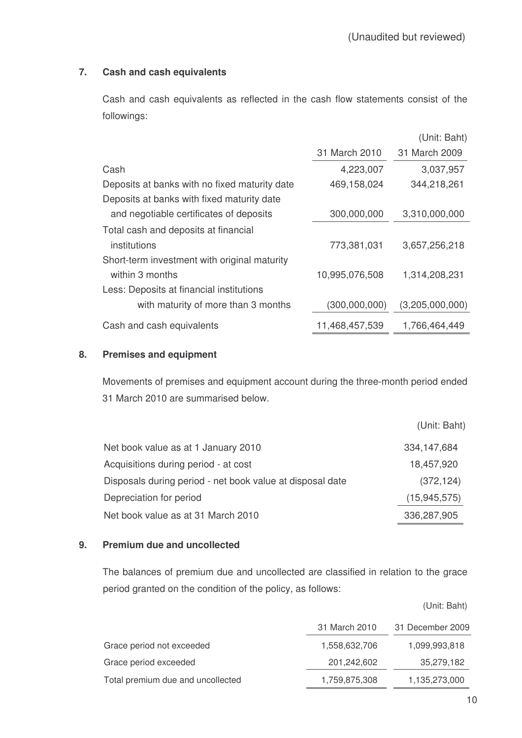# **7. Cash and cash equivalents**

Cash and cash equivalents as reflected in the cash flow statements consist of the followings:

|                                               |                | (Unit: Baht)    |
|-----------------------------------------------|----------------|-----------------|
|                                               | 31 March 2010  | 31 March 2009   |
| Cash                                          | 4,223,007      | 3,037,957       |
| Deposits at banks with no fixed maturity date | 469,158,024    | 344,218,261     |
| Deposits at banks with fixed maturity date    |                |                 |
| and negotiable certificates of deposits       | 300,000,000    | 3,310,000,000   |
| Total cash and deposits at financial          |                |                 |
| institutions                                  | 773,381,031    | 3,657,256,218   |
| Short-term investment with original maturity  |                |                 |
| within 3 months                               | 10,995,076,508 | 1,314,208,231   |
| Less: Deposits at financial institutions      |                |                 |
| with maturity of more than 3 months           | (300,000,000)  | (3,205,000,000) |
| Cash and cash equivalents                     | 11,468,457,539 | 1,766,464,449   |

# **8. Premises and equipment**

Movements of premises and equipment account during the three-month period ended 31 March 2010 are summarised below.

|                                                           | (Unit: Baht)   |
|-----------------------------------------------------------|----------------|
| Net book value as at 1 January 2010                       | 334, 147, 684  |
| Acquisitions during period - at cost                      | 18,457,920     |
| Disposals during period - net book value at disposal date | (372, 124)     |
| Depreciation for period                                   | (15, 945, 575) |
| Net book value as at 31 March 2010                        | 336,287,905    |

# **9. Premium due and uncollected**

The balances of premium due and uncollected are classified in relation to the grace period granted on the condition of the policy, as follows:

|                                   | 31 March 2010 | 31 December 2009 |
|-----------------------------------|---------------|------------------|
| Grace period not exceeded         | 1,558,632,706 | 1,099,993,818    |
| Grace period exceeded             | 201,242,602   | 35,279,182       |
| Total premium due and uncollected | 1,759,875,308 | 1,135,273,000    |

(Unit: Baht)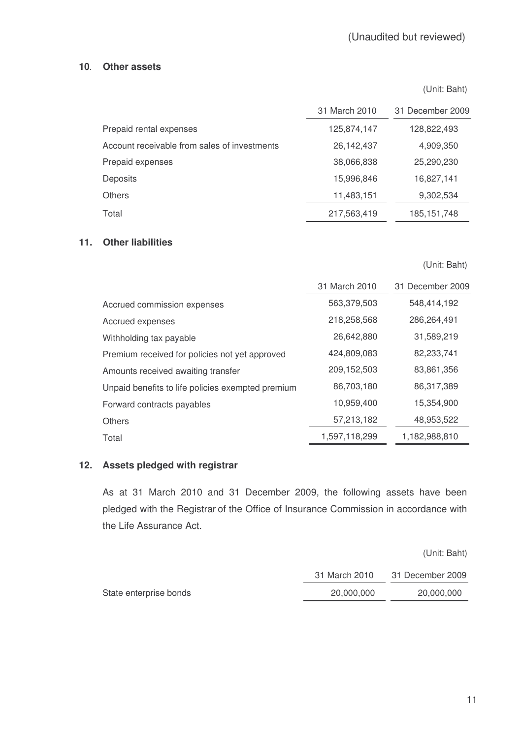# **10 Other assets**

(Unit: Baht)

|                                              | 31 March 2010 | 31 December 2009 |
|----------------------------------------------|---------------|------------------|
| Prepaid rental expenses                      | 125,874,147   | 128,822,493      |
| Account receivable from sales of investments | 26,142,437    | 4,909,350        |
| Prepaid expenses                             | 38,066,838    | 25,290,230       |
| <b>Deposits</b>                              | 15,996,846    | 16,827,141       |
| <b>Others</b>                                | 11,483,151    | 9,302,534        |
| Total                                        | 217,563,419   | 185, 151, 748    |

# **11. Other liabilities**

(Unit: Baht)

|                                                   | 31 March 2010 | 31 December 2009 |
|---------------------------------------------------|---------------|------------------|
| Accrued commission expenses                       | 563,379,503   | 548,414,192      |
| Accrued expenses                                  | 218,258,568   | 286,264,491      |
| Withholding tax payable                           | 26,642,880    | 31,589,219       |
| Premium received for policies not yet approved    | 424,809,083   | 82,233,741       |
| Amounts received awaiting transfer                | 209, 152, 503 | 83,861,356       |
| Unpaid benefits to life policies exempted premium | 86,703,180    | 86,317,389       |
| Forward contracts payables                        | 10,959,400    | 15,354,900       |
| <b>Others</b>                                     | 57,213,182    | 48,953,522       |
| Total                                             | 1,597,118,299 | 1,182,988,810    |

## **12. Assets pledged with registrar**

As at 31 March 2010 and 31 December 2009, the following assets have been pledged with the Registrar of the Office of Insurance Commission in accordance with the Life Assurance Act.

|                        |               | (Unit: Baht)     |
|------------------------|---------------|------------------|
|                        | 31 March 2010 | 31 December 2009 |
| State enterprise bonds | 20,000,000    | 20,000,000       |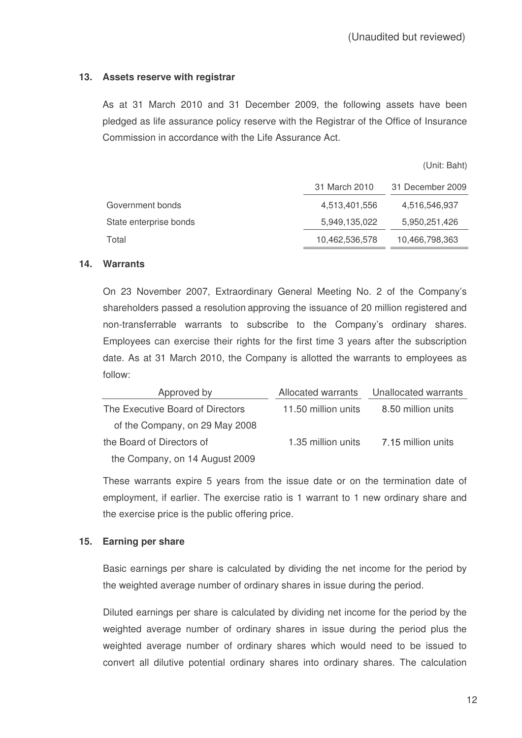## **13. Assets reserve with registrar**

As at 31 March 2010 and 31 December 2009, the following assets have been pledged as life assurance policy reserve with the Registrar of the Office of Insurance Commission in accordance with the Life Assurance Act.

(Unit: Baht)

|                        | 31 March 2010  | 31 December 2009 |
|------------------------|----------------|------------------|
| Government bonds       | 4,513,401,556  | 4,516,546,937    |
| State enterprise bonds | 5,949,135,022  | 5,950,251,426    |
| Total                  | 10,462,536,578 | 10,466,798,363   |

#### **14. Warrants**

On 23 November 2007, Extraordinary General Meeting No. 2 of the Company's shareholders passed a resolution approving the issuance of 20 million registered and non-transferrable warrants to subscribe to the Company's ordinary shares. Employees can exercise their rights for the first time 3 years after the subscription date. As at 31 March 2010, the Company is allotted the warrants to employees as follow:

| Approved by                      | Allocated warrants  | Unallocated warrants |
|----------------------------------|---------------------|----------------------|
| The Executive Board of Directors | 11.50 million units | 8.50 million units   |
| of the Company, on 29 May 2008   |                     |                      |
| the Board of Directors of        | 1.35 million units  | 7.15 million units   |
| the Company, on 14 August 2009   |                     |                      |

These warrants expire 5 years from the issue date or on the termination date of employment, if earlier. The exercise ratio is 1 warrant to 1 new ordinary share and the exercise price is the public offering price.

## **15. Earning per share**

Basic earnings per share is calculated by dividing the net income for the period by the weighted average number of ordinary shares in issue during the period.

Diluted earnings per share is calculated by dividing net income for the period by the weighted average number of ordinary shares in issue during the period plus the weighted average number of ordinary shares which would need to be issued to convert all dilutive potential ordinary shares into ordinary shares. The calculation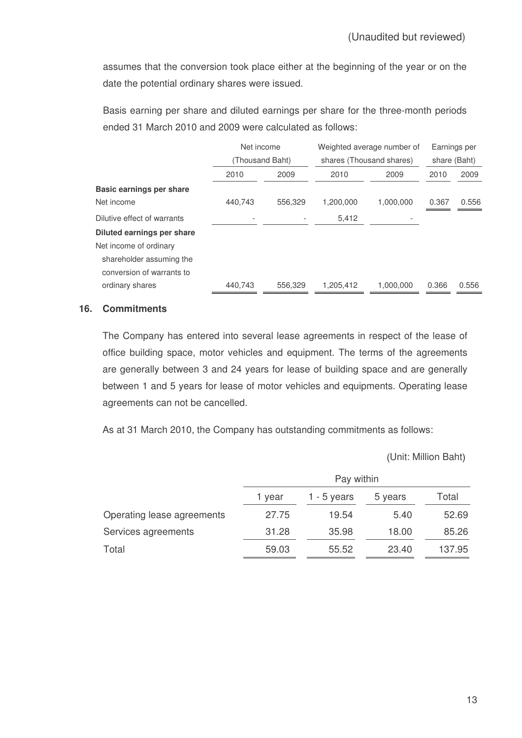assumes that the conversion took place either at the beginning of the year or on the date the potential ordinary shares were issued.

Basis earning per share and diluted earnings per share for the three-month periods ended 31 March 2010 and 2009 were calculated as follows:

|                             | Net income      |         | Weighted average number of |           | Earnings per |              |
|-----------------------------|-----------------|---------|----------------------------|-----------|--------------|--------------|
|                             | (Thousand Baht) |         | shares (Thousand shares)   |           |              | share (Baht) |
|                             | 2010            | 2009    | 2010                       | 2009      | 2010         | 2009         |
| Basic earnings per share    |                 |         |                            |           |              |              |
| Net income                  | 440,743         | 556,329 | 1,200,000                  | 1,000,000 | 0.367        | 0.556        |
| Dilutive effect of warrants |                 |         | 5,412                      |           |              |              |
| Diluted earnings per share  |                 |         |                            |           |              |              |
| Net income of ordinary      |                 |         |                            |           |              |              |
| shareholder assuming the    |                 |         |                            |           |              |              |
| conversion of warrants to   |                 |         |                            |           |              |              |
| ordinary shares             | 440.743         | 556.329 | 1,205,412                  | 1.000.000 | 0.366        | 0.556        |

# **16. Commitments**

The Company has entered into several lease agreements in respect of the lease of office building space, motor vehicles and equipment. The terms of the agreements are generally between 3 and 24 years for lease of building space and are generally between 1 and 5 years for lease of motor vehicles and equipments. Operating lease agreements can not be cancelled.

As at 31 March 2010, the Company has outstanding commitments as follows:

Unit: Million Baht

|                            | Pay within |             |         |        |
|----------------------------|------------|-------------|---------|--------|
|                            | 1 year     | 1 - 5 years | 5 years | Total  |
| Operating lease agreements | 27.75      | 19.54       | 5.40    | 52.69  |
| Services agreements        | 31.28      | 35.98       | 18.00   | 85.26  |
| Total                      | 59.03      | 55.52       | 23.40   | 137.95 |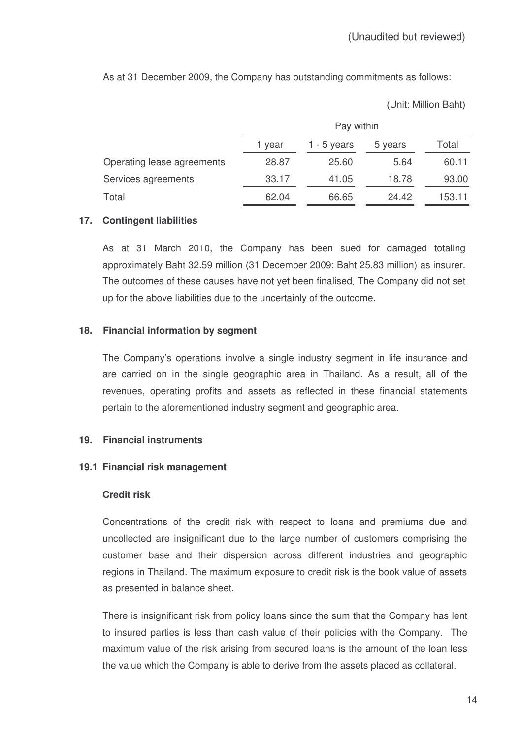As at 31 December 2009, the Company has outstanding commitments as follows:

Unit: Million Baht

|                            | Pay within |             |         |        |
|----------------------------|------------|-------------|---------|--------|
|                            | 1 vear     | 1 - 5 years | 5 years | Total  |
| Operating lease agreements | 28.87      | 25.60       | 5.64    | 60.11  |
| Services agreements        | 33.17      | 41.05       | 18.78   | 93.00  |
| Total                      | 62.04      | 66.65       | 24.42   | 153.11 |

## **17. Contingent liabilities**

As at 31 March 2010, the Company has been sued for damaged totaling approximately Baht 32.59 million (31 December 2009: Baht 25.83 million) as insurer. The outcomes of these causes have not yet been finalised. The Company did not set up for the above liabilities due to the uncertainly of the outcome.

#### **18. Financial information by segment**

The Company's operations involve a single industry segment in life insurance and are carried on in the single geographic area in Thailand. As a result, all of the revenues, operating profits and assets as reflected in these financial statements pertain to the aforementioned industry segment and geographic area.

## **19. Financial instruments**

## **19.1 Financial risk management**

#### **Credit risk**

Concentrations of the credit risk with respect to loans and premiums due and uncollected are insignificant due to the large number of customers comprising the customer base and their dispersion across different industries and geographic regions in Thailand. The maximum exposure to credit risk is the book value of assets as presented in balance sheet.

There is insignificant risk from policy loans since the sum that the Company has lent to insured parties is less than cash value of their policies with the Company. The maximum value of the risk arising from secured loans is the amount of the loan less the value which the Company is able to derive from the assets placed as collateral.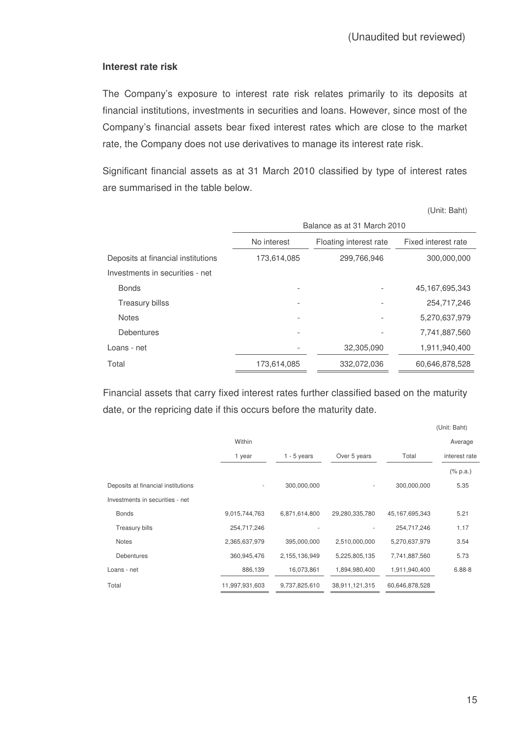#### **Interest rate risk**

The Company's exposure to interest rate risk relates primarily to its deposits at financial institutions, investments in securities and loans. However, since most of the Company's financial assets bear fixed interest rates which are close to the market rate, the Company does not use derivatives to manage its interest rate risk.

Significant financial assets as at 31 March 2010 classified by type of interest rates are summarised in the table below.

(Unit: Baht)

|                                    | Balance as at 31 March 2010           |             |                     |
|------------------------------------|---------------------------------------|-------------|---------------------|
|                                    | No interest<br>Floating interest rate |             | Fixed interest rate |
| Deposits at financial institutions | 173,614,085                           | 299,766,946 | 300,000,000         |
| Investments in securities - net    |                                       |             |                     |
| <b>Bonds</b>                       |                                       |             | 45, 167, 695, 343   |
| <b>Treasury billss</b>             |                                       |             | 254,717,246         |
| <b>Notes</b>                       |                                       |             | 5,270,637,979       |
| <b>Debentures</b>                  |                                       |             | 7,741,887,560       |
| Loans - net                        |                                       | 32,305,090  | 1,911,940,400       |
| Total                              | 173,614,085                           | 332,072,036 | 60,646,878,528      |

Financial assets that carry fixed interest rates further classified based on the maturity date, or the repricing date if this occurs before the maturity date.

|                                    |                |               |                          |                   | (Unit: Baht)                |
|------------------------------------|----------------|---------------|--------------------------|-------------------|-----------------------------|
|                                    | Within         |               |                          |                   | Average                     |
|                                    | 1 year         | $1 - 5$ years | Over 5 years             | Total             | interest rate               |
|                                    |                |               |                          |                   | $(% \mathbb{R}^2)$ (% p.a.) |
| Deposits at financial institutions | ۰              | 300,000,000   | $\overline{\phantom{a}}$ | 300,000,000       | 5.35                        |
| Investments in securities - net    |                |               |                          |                   |                             |
| <b>Bonds</b>                       | 9,015,744,763  | 6,871,614,800 | 29,280,335,780           | 45, 167, 695, 343 | 5.21                        |
| <b>Treasury bills</b>              | 254,717,246    |               |                          | 254,717,246       | 1.17                        |
| <b>Notes</b>                       | 2,365,637,979  | 395,000,000   | 2,510,000,000            | 5,270,637,979     | 3.54                        |
| <b>Debentures</b>                  | 360,945,476    | 2,155,136,949 | 5,225,805,135            | 7,741,887,560     | 5.73                        |
| Loans - net                        | 886,139        | 16,073,861    | 1,894,980,400            | 1,911,940,400     | $6.88 - 8$                  |
| Total                              | 11,997,931,603 | 9,737,825,610 | 38,911,121,315           | 60,646,878,528    |                             |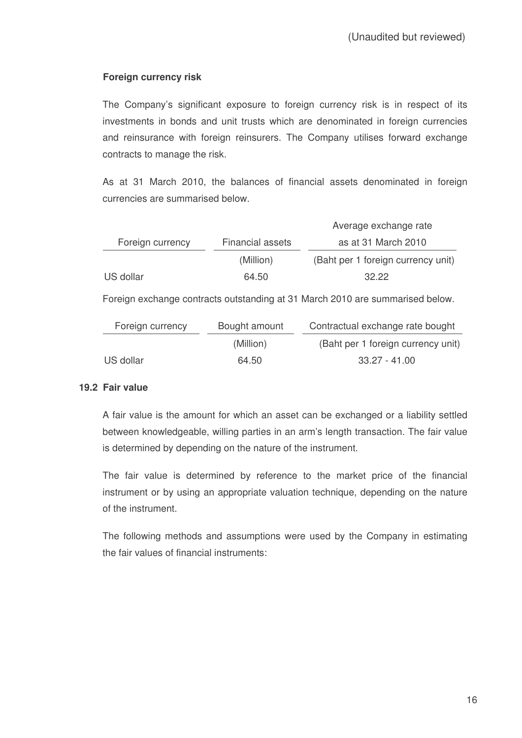# **Foreign currency risk**

The Company's significant exposure to foreign currency risk is in respect of its investments in bonds and unit trusts which are denominated in foreign currencies and reinsurance with foreign reinsurers. The Company utilises forward exchange contracts to manage the risk.

As at 31 March 2010, the balances of financial assets denominated in foreign currencies are summarised below.

|                  |                  | Average exchange rate              |
|------------------|------------------|------------------------------------|
| Foreign currency | Financial assets | as at 31 March 2010                |
|                  | (Million)        | (Baht per 1 foreign currency unit) |
| US dollar        | 64.50            | 32.22                              |

Foreign exchange contracts outstanding at 31 March 2010 are summarised below.

| Foreign currency | Bought amount | Contractual exchange rate bought   |
|------------------|---------------|------------------------------------|
|                  | (Million)     | (Baht per 1 foreign currency unit) |
| US dollar        | 64.50         | 33.27 - 41.00                      |

## **19.2 Fair value**

A fair value is the amount for which an asset can be exchanged or a liability settled between knowledgeable, willing parties in an arm's length transaction. The fair value is determined by depending on the nature of the instrument.

The fair value is determined by reference to the market price of the financial instrument or by using an appropriate valuation technique, depending on the nature of the instrument.

The following methods and assumptions were used by the Company in estimating the fair values of financial instruments: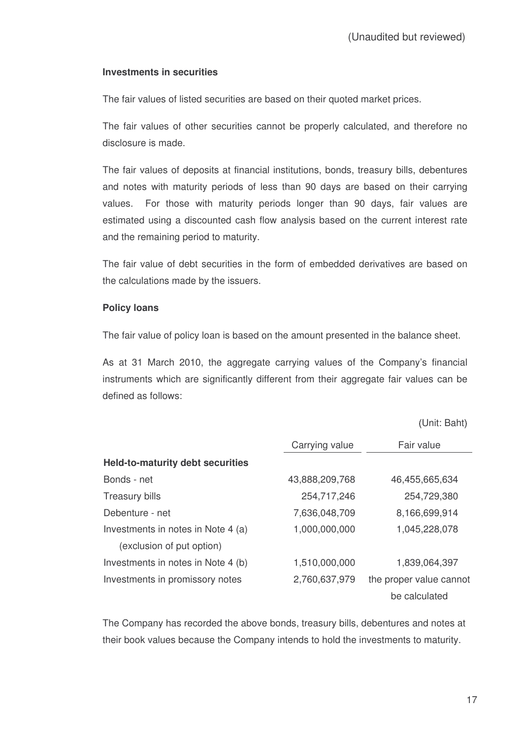## **Investments in securities**

The fair values of listed securities are based on their quoted market prices.

The fair values of other securities cannot be properly calculated, and therefore no disclosure is made.

The fair values of deposits at financial institutions, bonds, treasury bills, debentures and notes with maturity periods of less than 90 days are based on their carrying values. For those with maturity periods longer than 90 days, fair values are estimated using a discounted cash flow analysis based on the current interest rate and the remaining period to maturity.

The fair value of debt securities in the form of embedded derivatives are based on the calculations made by the issuers.

## **Policy loans**

The fair value of policy loan is based on the amount presented in the balance sheet.

As at 31 March 2010, the aggregate carrying values of the Company's financial instruments which are significantly different from their aggregate fair values can be defined as follows:

Unit: Baht

|                                         | Carrying value<br>Fair value |                         |
|-----------------------------------------|------------------------------|-------------------------|
| <b>Held-to-maturity debt securities</b> |                              |                         |
| Bonds - net                             | 43,888,209,768               | 46,455,665,634          |
| <b>Treasury bills</b>                   | 254,717,246                  | 254,729,380             |
| Debenture - net                         | 7,636,048,709                | 8,166,699,914           |
| Investments in notes in Note 4 (a)      | 1,000,000,000                | 1,045,228,078           |
| (exclusion of put option)               |                              |                         |
| Investments in notes in Note 4 (b)      | 1,510,000,000                | 1,839,064,397           |
| Investments in promissory notes         | 2,760,637,979                | the proper value cannot |
|                                         |                              | be calculated           |

The Company has recorded the above bonds, treasury bills, debentures and notes at their book values because the Company intends to hold the investments to maturity.